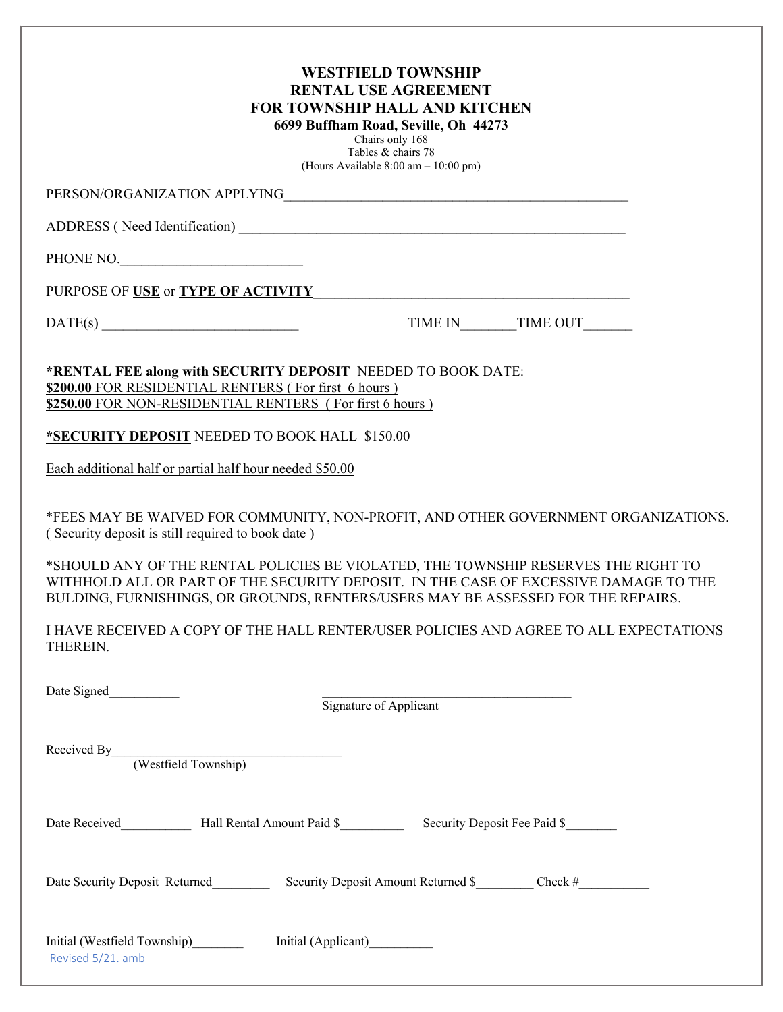| <b>WESTFIELD TOWNSHIP</b><br><b>RENTAL USE AGREEMENT</b><br><b>FOR TOWNSHIP HALL AND KITCHEN</b><br>6699 Buffham Road, Seville, Oh 44273<br>Chairs only 168<br>Tables & chairs 78<br>(Hours Available 8:00 am - 10:00 pm)                                                                                                                                                                                 |                  |
|-----------------------------------------------------------------------------------------------------------------------------------------------------------------------------------------------------------------------------------------------------------------------------------------------------------------------------------------------------------------------------------------------------------|------------------|
|                                                                                                                                                                                                                                                                                                                                                                                                           |                  |
|                                                                                                                                                                                                                                                                                                                                                                                                           |                  |
| PHONE NO.                                                                                                                                                                                                                                                                                                                                                                                                 |                  |
| PURPOSE OF <u>USE</u> or <b>TYPE OF ACTIVITY</b> And <b>EXECUTE ACTIVITY</b>                                                                                                                                                                                                                                                                                                                              |                  |
| $\text{DATE(s)}$                                                                                                                                                                                                                                                                                                                                                                                          | TIME IN TIME OUT |
| *RENTAL FEE along with SECURITY DEPOSIT NEEDED TO BOOK DATE:<br>\$200.00 FOR RESIDENTIAL RENTERS (For first 6 hours)<br>\$250.00 FOR NON-RESIDENTIAL RENTERS (For first 6 hours)                                                                                                                                                                                                                          |                  |
| *SECURITY DEPOSIT NEEDED TO BOOK HALL \$150.00                                                                                                                                                                                                                                                                                                                                                            |                  |
| Each additional half or partial half hour needed \$50.00                                                                                                                                                                                                                                                                                                                                                  |                  |
| *FEES MAY BE WAIVED FOR COMMUNITY, NON-PROFIT, AND OTHER GOVERNMENT ORGANIZATIONS.<br>(Security deposit is still required to book date)<br>*SHOULD ANY OF THE RENTAL POLICIES BE VIOLATED, THE TOWNSHIP RESERVES THE RIGHT TO<br>WITHHOLD ALL OR PART OF THE SECURITY DEPOSIT. IN THE CASE OF EXCESSIVE DAMAGE TO THE<br>BULDING, FURNISHINGS, OR GROUNDS, RENTERS/USERS MAY BE ASSESSED FOR THE REPAIRS. |                  |
| I HAVE RECEIVED A COPY OF THE HALL RENTER/USER POLICIES AND AGREE TO ALL EXPECTATIONS<br>THEREIN.                                                                                                                                                                                                                                                                                                         |                  |
| Signature of Applicant                                                                                                                                                                                                                                                                                                                                                                                    |                  |
| Received By (Westfield Township)                                                                                                                                                                                                                                                                                                                                                                          |                  |
|                                                                                                                                                                                                                                                                                                                                                                                                           |                  |
| Date Security Deposit Returned Security Deposit Amount Returned \$ _________ Check #                                                                                                                                                                                                                                                                                                                      |                  |
| Revised 5/21. amb                                                                                                                                                                                                                                                                                                                                                                                         |                  |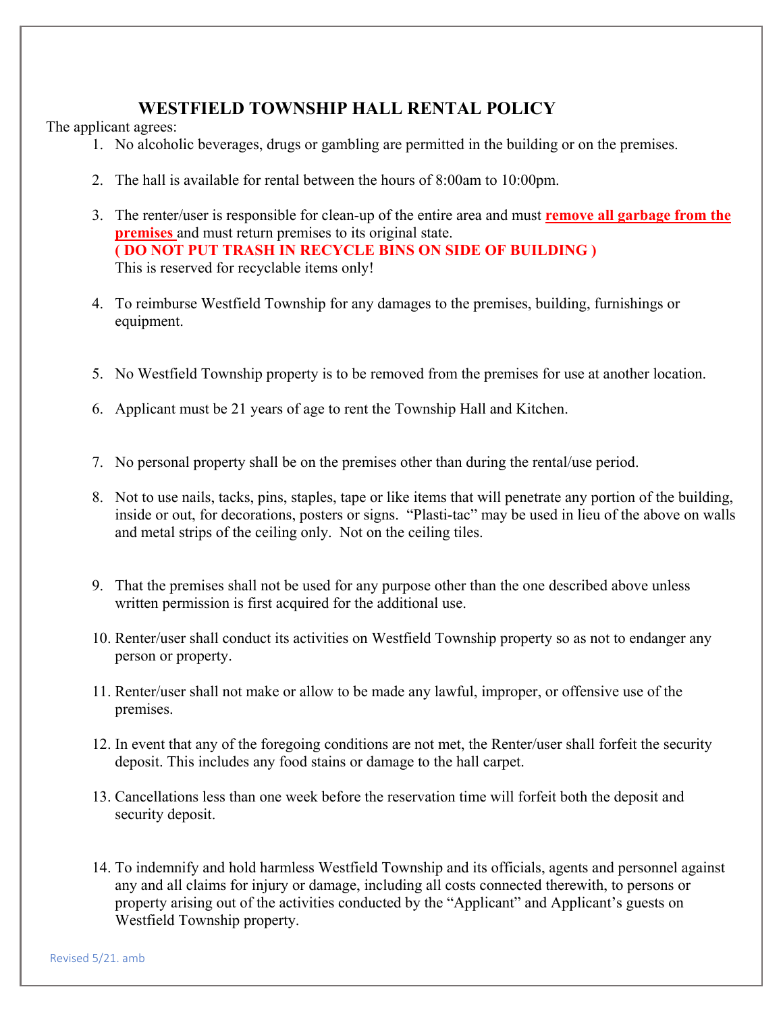## **WESTFIELD TOWNSHIP HALL RENTAL POLICY**

The applicant agrees:

- 1. No alcoholic beverages, drugs or gambling are permitted in the building or on the premises.
- 2. The hall is available for rental between the hours of 8:00am to 10:00pm.
- 3. The renter/user is responsible for clean-up of the entire area and must **remove all garbage from the premises** and must return premises to its original state. **( DO NOT PUT TRASH IN RECYCLE BINS ON SIDE OF BUILDING )**  This is reserved for recyclable items only!
- 4. To reimburse Westfield Township for any damages to the premises, building, furnishings or equipment.
- 5. No Westfield Township property is to be removed from the premises for use at another location.
- 6. Applicant must be 21 years of age to rent the Township Hall and Kitchen.
- 7. No personal property shall be on the premises other than during the rental/use period.
- 8. Not to use nails, tacks, pins, staples, tape or like items that will penetrate any portion of the building, inside or out, for decorations, posters or signs. "Plasti-tac" may be used in lieu of the above on walls and metal strips of the ceiling only. Not on the ceiling tiles.
- 9. That the premises shall not be used for any purpose other than the one described above unless written permission is first acquired for the additional use.
- 10. Renter/user shall conduct its activities on Westfield Township property so as not to endanger any person or property.
- 11. Renter/user shall not make or allow to be made any lawful, improper, or offensive use of the premises.
- 12. In event that any of the foregoing conditions are not met, the Renter/user shall forfeit the security deposit. This includes any food stains or damage to the hall carpet.
- 13. Cancellations less than one week before the reservation time will forfeit both the deposit and security deposit.
- 14. To indemnify and hold harmless Westfield Township and its officials, agents and personnel against any and all claims for injury or damage, including all costs connected therewith, to persons or property arising out of the activities conducted by the "Applicant" and Applicant's guests on Westfield Township property.